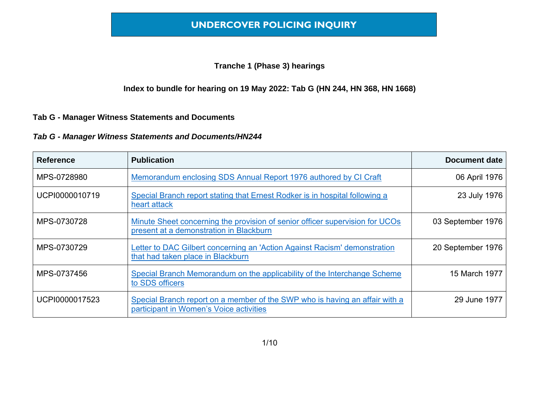#### **Tranche 1 (Phase 3) hearings**

#### **Index to bundle for hearing on 19 May 2022: Tab G (HN 244, HN 368, HN 1668)**

#### **Tab G - Manager Witness Statements and Documents**

#### *Tab G - Manager Witness Statements and Documents/HN244*

| <b>Reference</b> | <b>Publication</b>                                                                                                      | <b>Document date</b> |
|------------------|-------------------------------------------------------------------------------------------------------------------------|----------------------|
| MPS-0728980      | Memorandum enclosing SDS Annual Report 1976 authored by CI Craft                                                        | 06 April 1976        |
| UCPI0000010719   | Special Branch report stating that Ernest Rodker is in hospital following a<br>heart attack                             | 23 July 1976         |
| MPS-0730728      | Minute Sheet concerning the provision of senior officer supervision for UCOs<br>present at a demonstration in Blackburn | 03 September 1976    |
| MPS-0730729      | Letter to DAC Gilbert concerning an 'Action Against Racism' demonstration<br>that had taken place in Blackburn          | 20 September 1976    |
| MPS-0737456      | Special Branch Memorandum on the applicability of the Interchange Scheme<br>to SDS officers                             | 15 March 1977        |
| UCPI0000017523   | Special Branch report on a member of the SWP who is having an affair with a<br>participant in Women's Voice activities  | 29 June 1977         |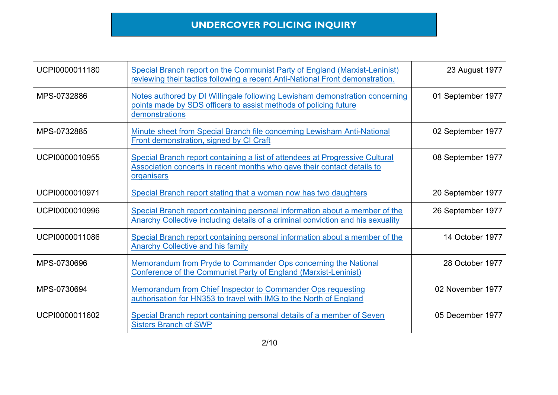| UCPI0000011180 | Special Branch report on the Communist Party of England (Marxist-Leninist)<br>reviewing their tactics following a recent Anti-National Front demonstration.           | 23 August 1977    |
|----------------|-----------------------------------------------------------------------------------------------------------------------------------------------------------------------|-------------------|
| MPS-0732886    | Notes authored by DI Willingale following Lewisham demonstration concerning<br>points made by SDS officers to assist methods of policing future<br>demonstrations     | 01 September 1977 |
| MPS-0732885    | Minute sheet from Special Branch file concerning Lewisham Anti-National<br>Front demonstration, signed by CI Craft                                                    | 02 September 1977 |
| UCPI0000010955 | Special Branch report containing a list of attendees at Progressive Cultural<br>Association concerts in recent months who gave their contact details to<br>organisers | 08 September 1977 |
| UCPI0000010971 | Special Branch report stating that a woman now has two daughters                                                                                                      | 20 September 1977 |
| UCPI0000010996 | Special Branch report containing personal information about a member of the<br>Anarchy Collective including details of a criminal conviction and his sexuality        | 26 September 1977 |
| UCPI0000011086 | Special Branch report containing personal information about a member of the<br><b>Anarchy Collective and his family</b>                                               | 14 October 1977   |
| MPS-0730696    | Memorandum from Pryde to Commander Ops concerning the National<br><b>Conference of the Communist Party of England (Marxist-Leninist)</b>                              | 28 October 1977   |
| MPS-0730694    | <b>Memorandum from Chief Inspector to Commander Ops requesting</b><br>authorisation for HN353 to travel with IMG to the North of England                              | 02 November 1977  |
| UCPI0000011602 | Special Branch report containing personal details of a member of Seven<br><b>Sisters Branch of SWP</b>                                                                | 05 December 1977  |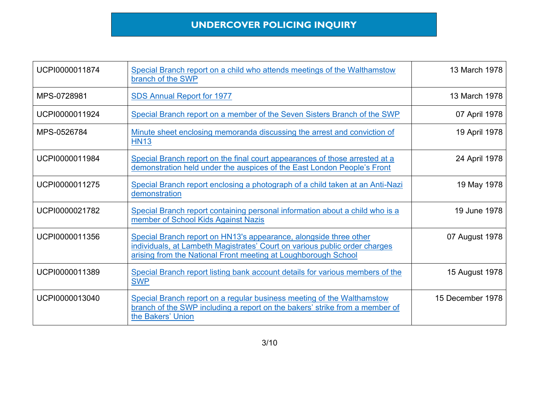| UCPI0000011874 | Special Branch report on a child who attends meetings of the Walthamstow<br>branch of the SWP                                                                                                                     | 13 March 1978    |
|----------------|-------------------------------------------------------------------------------------------------------------------------------------------------------------------------------------------------------------------|------------------|
| MPS-0728981    | <b>SDS Annual Report for 1977</b>                                                                                                                                                                                 | 13 March 1978    |
| UCPI0000011924 | Special Branch report on a member of the Seven Sisters Branch of the SWP                                                                                                                                          | 07 April 1978    |
| MPS-0526784    | Minute sheet enclosing memoranda discussing the arrest and conviction of<br><b>HN13</b>                                                                                                                           | 19 April 1978    |
| UCPI0000011984 | Special Branch report on the final court appearances of those arrested at a<br>demonstration held under the auspices of the East London People's Front                                                            | 24 April 1978    |
| UCPI0000011275 | Special Branch report enclosing a photograph of a child taken at an Anti-Nazi<br>demonstration                                                                                                                    | 19 May 1978      |
| UCPI0000021782 | Special Branch report containing personal information about a child who is a<br>member of School Kids Against Nazis                                                                                               | 19 June 1978     |
| UCPI0000011356 | Special Branch report on HN13's appearance, alongside three other<br>individuals, at Lambeth Magistrates' Court on various public order charges<br>arising from the National Front meeting at Loughborough School | 07 August 1978   |
| UCPI0000011389 | Special Branch report listing bank account details for various members of the<br><b>SWP</b>                                                                                                                       | 15 August 1978   |
| UCPI0000013040 | Special Branch report on a regular business meeting of the Walthamstow<br>branch of the SWP including a report on the bakers' strike from a member of<br>the Bakers' Union                                        | 15 December 1978 |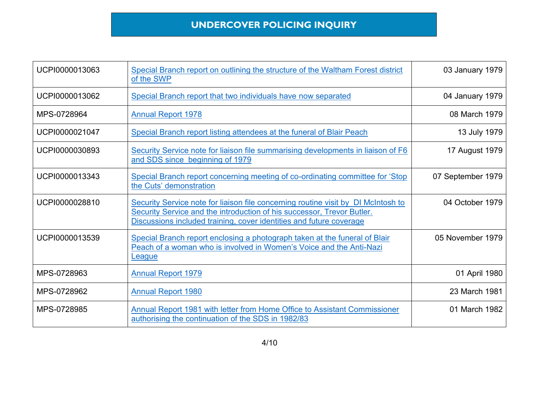| UCPI0000013063 | Special Branch report on outlining the structure of the Waltham Forest district<br>of the SWP                                                                                                                                      | 03 January 1979   |
|----------------|------------------------------------------------------------------------------------------------------------------------------------------------------------------------------------------------------------------------------------|-------------------|
| UCPI0000013062 | Special Branch report that two individuals have now separated                                                                                                                                                                      | 04 January 1979   |
| MPS-0728964    | <b>Annual Report 1978</b>                                                                                                                                                                                                          | 08 March 1979     |
| UCPI0000021047 | Special Branch report listing attendees at the funeral of Blair Peach                                                                                                                                                              | 13 July 1979      |
| UCPI0000030893 | Security Service note for liaison file summarising developments in liaison of F6<br>and SDS since beginning of 1979                                                                                                                | 17 August 1979    |
| UCPI0000013343 | Special Branch report concerning meeting of co-ordinating committee for 'Stop<br>the Cuts' demonstration                                                                                                                           | 07 September 1979 |
| UCPI0000028810 | Security Service note for liaison file concerning routine visit by DI McIntosh to<br>Security Service and the introduction of his successor, Trevor Butler.<br>Discussions included training, cover identities and future coverage | 04 October 1979   |
| UCPI0000013539 | Special Branch report enclosing a photograph taken at the funeral of Blair<br>Peach of a woman who is involved in Women's Voice and the Anti-Nazi<br>League                                                                        | 05 November 1979  |
| MPS-0728963    | <b>Annual Report 1979</b>                                                                                                                                                                                                          | 01 April 1980     |
| MPS-0728962    | <b>Annual Report 1980</b>                                                                                                                                                                                                          | 23 March 1981     |
| MPS-0728985    | Annual Report 1981 with letter from Home Office to Assistant Commissioner<br>authorising the continuation of the SDS in 1982/83                                                                                                    | 01 March 1982     |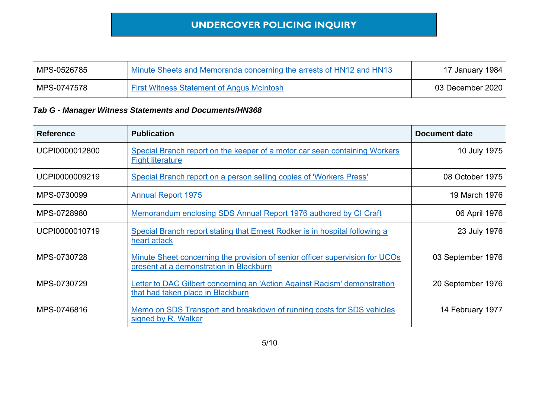| MPS-0526785 | Minute Sheets and Memoranda concerning the arrests of HN12 and HN13 | 17 January 1984  |
|-------------|---------------------------------------------------------------------|------------------|
| MPS-0747578 | <b>First Witness Statement of Angus McIntosh</b>                    | 03 December 2020 |

#### *Tab G - Manager Witness Statements and Documents/HN368*

| <b>Reference</b> | <b>Publication</b>                                                                                                      | Document date     |
|------------------|-------------------------------------------------------------------------------------------------------------------------|-------------------|
| UCPI0000012800   | Special Branch report on the keeper of a motor car seen containing Workers<br><b>Fight literature</b>                   | 10 July 1975      |
| UCPI0000009219   | Special Branch report on a person selling copies of 'Workers Press'                                                     | 08 October 1975   |
| MPS-0730099      | <b>Annual Report 1975</b>                                                                                               | 19 March 1976     |
| MPS-0728980      | Memorandum enclosing SDS Annual Report 1976 authored by CI Craft                                                        | 06 April 1976     |
| UCPI0000010719   | Special Branch report stating that Ernest Rodker is in hospital following a<br>heart attack                             | 23 July 1976      |
| MPS-0730728      | Minute Sheet concerning the provision of senior officer supervision for UCOs<br>present at a demonstration in Blackburn | 03 September 1976 |
| MPS-0730729      | Letter to DAC Gilbert concerning an 'Action Against Racism' demonstration<br>that had taken place in Blackburn          | 20 September 1976 |
| MPS-0746816      | Memo on SDS Transport and breakdown of running costs for SDS vehicles<br>signed by R. Walker                            | 14 February 1977  |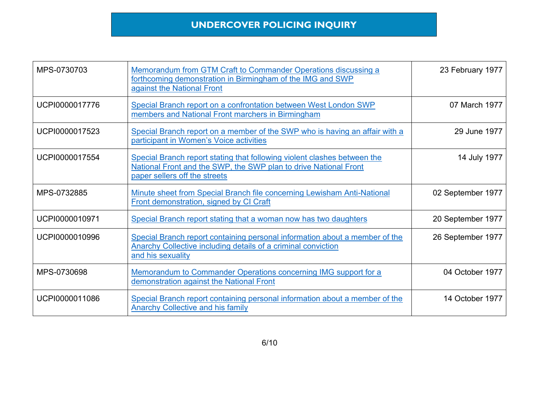| MPS-0730703    | Memorandum from GTM Craft to Commander Operations discussing a<br>forthcoming demonstration in Birmingham of the IMG and SWP<br>against the National Front                    | 23 February 1977  |
|----------------|-------------------------------------------------------------------------------------------------------------------------------------------------------------------------------|-------------------|
| UCPI0000017776 | Special Branch report on a confrontation between West London SWP<br>members and National Front marchers in Birmingham                                                         | 07 March 1977     |
| UCPI0000017523 | Special Branch report on a member of the SWP who is having an affair with a<br>participant in Women's Voice activities                                                        | 29 June 1977      |
| UCPI0000017554 | Special Branch report stating that following violent clashes between the<br>National Front and the SWP, the SWP plan to drive National Front<br>paper sellers off the streets | 14 July 1977      |
| MPS-0732885    | Minute sheet from Special Branch file concerning Lewisham Anti-National<br>Front demonstration, signed by CI Craft                                                            | 02 September 1977 |
| UCPI0000010971 | Special Branch report stating that a woman now has two daughters                                                                                                              | 20 September 1977 |
| UCPI0000010996 | Special Branch report containing personal information about a member of the<br><b>Anarchy Collective including details of a criminal conviction</b><br>and his sexuality      | 26 September 1977 |
| MPS-0730698    | Memorandum to Commander Operations concerning IMG support for a<br>demonstration against the National Front                                                                   | 04 October 1977   |
| UCPI0000011086 | Special Branch report containing personal information about a member of the<br><b>Anarchy Collective and his family</b>                                                       | 14 October 1977   |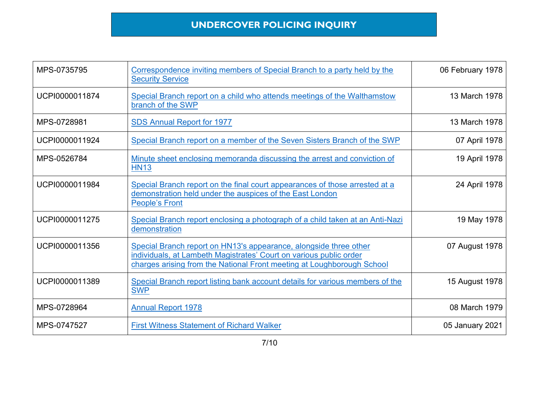| MPS-0735795    | Correspondence inviting members of Special Branch to a party held by the<br><b>Security Service</b>                                                                                                               | 06 February 1978 |
|----------------|-------------------------------------------------------------------------------------------------------------------------------------------------------------------------------------------------------------------|------------------|
| UCPI0000011874 | Special Branch report on a child who attends meetings of the Walthamstow<br>branch of the SWP                                                                                                                     | 13 March 1978    |
| MPS-0728981    | <b>SDS Annual Report for 1977</b>                                                                                                                                                                                 | 13 March 1978    |
| UCPI0000011924 | Special Branch report on a member of the Seven Sisters Branch of the SWP                                                                                                                                          | 07 April 1978    |
| MPS-0526784    | Minute sheet enclosing memoranda discussing the arrest and conviction of<br><b>HN13</b>                                                                                                                           | 19 April 1978    |
| UCPI0000011984 | Special Branch report on the final court appearances of those arrested at a<br>demonstration held under the auspices of the East London<br><b>People's Front</b>                                                  | 24 April 1978    |
| UCPI0000011275 | Special Branch report enclosing a photograph of a child taken at an Anti-Nazi<br>demonstration                                                                                                                    | 19 May 1978      |
| UCPI0000011356 | Special Branch report on HN13's appearance, alongside three other<br>individuals, at Lambeth Magistrates' Court on various public order<br>charges arising from the National Front meeting at Loughborough School | 07 August 1978   |
| UCPI0000011389 | Special Branch report listing bank account details for various members of the<br><b>SWP</b>                                                                                                                       | 15 August 1978   |
| MPS-0728964    | <b>Annual Report 1978</b>                                                                                                                                                                                         | 08 March 1979    |
| MPS-0747527    | <b>First Witness Statement of Richard Walker</b>                                                                                                                                                                  | 05 January 2021  |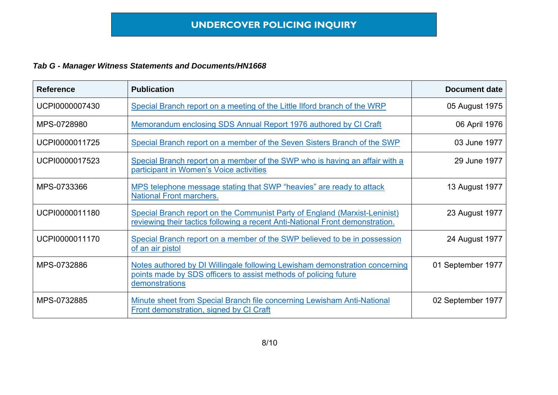#### *Tab G - Manager Witness Statements and Documents/HN1668*

| <b>Reference</b> | <b>Publication</b>                                                                                                                                                | <b>Document date</b> |
|------------------|-------------------------------------------------------------------------------------------------------------------------------------------------------------------|----------------------|
| UCPI0000007430   | Special Branch report on a meeting of the Little Ilford branch of the WRP                                                                                         | 05 August 1975       |
| MPS-0728980      | Memorandum enclosing SDS Annual Report 1976 authored by CI Craft                                                                                                  | 06 April 1976        |
| UCPI0000011725   | Special Branch report on a member of the Seven Sisters Branch of the SWP                                                                                          | 03 June 1977         |
| UCPI0000017523   | Special Branch report on a member of the SWP who is having an affair with a<br>participant in Women's Voice activities                                            | 29 June 1977         |
| MPS-0733366      | MPS telephone message stating that SWP "heavies" are ready to attack<br><b>National Front marchers.</b>                                                           | 13 August 1977       |
| UCPI0000011180   | Special Branch report on the Communist Party of England (Marxist-Leninist)<br>reviewing their tactics following a recent Anti-National Front demonstration.       | 23 August 1977       |
| UCPI0000011170   | Special Branch report on a member of the SWP believed to be in possession<br>of an air pistol                                                                     | 24 August 1977       |
| MPS-0732886      | Notes authored by DI Willingale following Lewisham demonstration concerning<br>points made by SDS officers to assist methods of policing future<br>demonstrations | 01 September 1977    |
| MPS-0732885      | Minute sheet from Special Branch file concerning Lewisham Anti-National<br>Front demonstration, signed by CI Craft                                                | 02 September 1977    |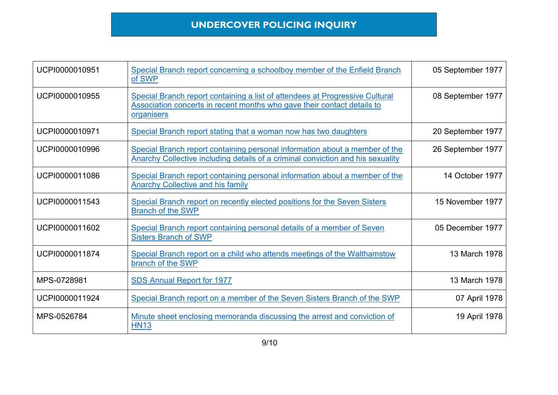| UCPI0000010951 | Special Branch report concerning a schoolboy member of the Enfield Branch<br>of SWP                                                                                   | 05 September 1977 |
|----------------|-----------------------------------------------------------------------------------------------------------------------------------------------------------------------|-------------------|
| UCPI0000010955 | Special Branch report containing a list of attendees at Progressive Cultural<br>Association concerts in recent months who gave their contact details to<br>organisers | 08 September 1977 |
| UCPI0000010971 | Special Branch report stating that a woman now has two daughters                                                                                                      | 20 September 1977 |
| UCPI0000010996 | Special Branch report containing personal information about a member of the<br>Anarchy Collective including details of a criminal conviction and his sexuality        | 26 September 1977 |
| UCPI0000011086 | Special Branch report containing personal information about a member of the<br><b>Anarchy Collective and his family</b>                                               | 14 October 1977   |
| UCPI0000011543 | Special Branch report on recently elected positions for the Seven Sisters<br><b>Branch of the SWP</b>                                                                 | 15 November 1977  |
| UCPI0000011602 | Special Branch report containing personal details of a member of Seven<br><b>Sisters Branch of SWP</b>                                                                | 05 December 1977  |
| UCPI0000011874 | Special Branch report on a child who attends meetings of the Walthamstow<br>branch of the SWP                                                                         | 13 March 1978     |
| MPS-0728981    | <b>SDS Annual Report for 1977</b>                                                                                                                                     | 13 March 1978     |
| UCPI0000011924 | Special Branch report on a member of the Seven Sisters Branch of the SWP                                                                                              | 07 April 1978     |
| MPS-0526784    | Minute sheet enclosing memoranda discussing the arrest and conviction of<br><b>HN13</b>                                                                               | 19 April 1978     |